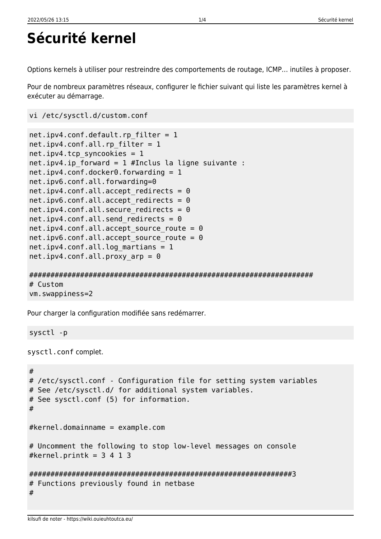## **Sécurité kernel**

Options kernels à utiliser pour restreindre des comportements de routage, ICMP… inutiles à proposer.

Pour de nombreux paramètres réseaux, configurer le fichier suivant qui liste les paramètres kernel à exécuter au démarrage.

```
vi /etc/sysctl.d/custom.conf
```

```
net.ipv4.conf.default.rp_filter = 1
net.ipv4.comf.all.rp filter = <math>1</math>net.ipv4.tcp syncookies = 1
net.ipv4.ip forward = 1 #Inclus la ligne suivante :
net.ipv4.conf.docker0.forwarding = 1
net.ipv6.conf.all.forwarding=0
net.ipv4.conf.all.accept redirects = <math>0</math>net.ipv6.comf.all.accept redirects = 0
net.ipv4.comf.all.secure. redirects = 0
net.ipv4.comf.all.send redirects = 0
net.ipv4.conf.all.accept source route = <math>0</math>net.ipv6.comf.all.accept source route = <math>0</math>net.ipv4.conf.all.log martians = 1
net.jpg1.conf.all.proxy arp = 0
```
## ################################################################### # Custom vm.swappiness=2

Pour charger la configuration modifiée sans redémarrer.

sysctl -p

sysctl.conf complet.

```
#
# /etc/sysctl.conf - Configuration file for setting system variables
# See /etc/sysctl.d/ for additional system variables.
# See sysctl.conf (5) for information.
#
#kernel.domainname = example.com
# Uncomment the following to stop low-level messages on console
#kernel.printk = 3 4 1 3
##############################################################3
# Functions previously found in netbase
#
```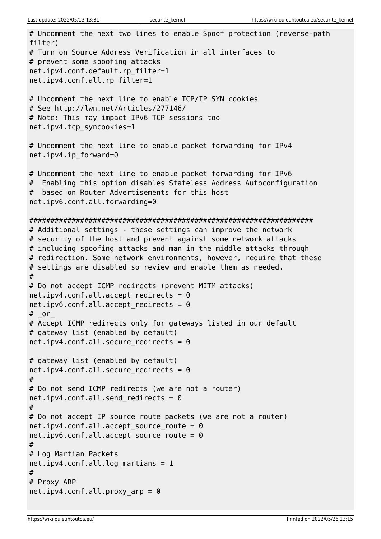```
# Uncomment the next two lines to enable Spoof protection (reverse-path
filter)
# Turn on Source Address Verification in all interfaces to
# prevent some spoofing attacks
net.ipv4.conf.default.rp_filter=1
net.ipv4.conf.all.rp_filter=1
# Uncomment the next line to enable TCP/IP SYN cookies
# See http://lwn.net/Articles/277146/
# Note: This may impact IPv6 TCP sessions too
net.ipv4.tcp_syncookies=1
# Uncomment the next line to enable packet forwarding for IPv4
net.ipv4.ip_forward=0
# Uncomment the next line to enable packet forwarding for IPv6
# Enabling this option disables Stateless Address Autoconfiguration
# based on Router Advertisements for this host
net.ipv6.conf.all.forwarding=0
###################################################################
# Additional settings - these settings can improve the network
# security of the host and prevent against some network attacks
# including spoofing attacks and man in the middle attacks through
# redirection. Some network environments, however, require that these
# settings are disabled so review and enable them as needed.
#
# Do not accept ICMP redirects (prevent MITM attacks)
net.ipv4.comf.all.accept redirects = 0
net.ipv6.comf.all.accept redirects = 0
# or
# Accept ICMP redirects only for gateways listed in our default
# gateway list (enabled by default)
net.ipv4.comf.all.secure. redirects = 0
# gateway list (enabled by default)
net.ipv4.comf.all.secure. redirects = 0
#
# Do not send ICMP redirects (we are not a router)
net.ipv4.comf.all.send redirects = 0
#
# Do not accept IP source route packets (we are not a router)
net.ipv4.comf.all.accept source route = <math>0</math>net.ipv6.conf.all.accept source route = <math>0</math>#
# Log Martian Packets
net.ipv4.conf.all.log martians = 1
#
# Proxy ARP
net.ipv4.comf.all.proxy~arp = <math>0</math>
```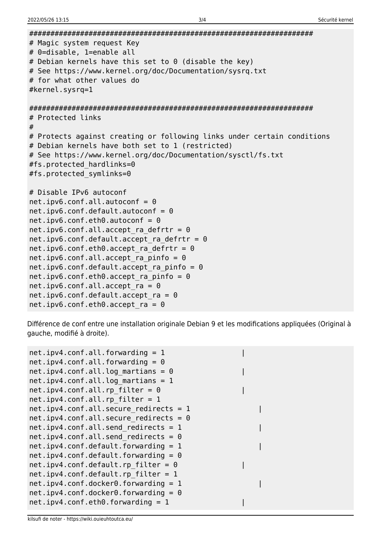```
# Magic system request Key
# 0=disable, 1=enable all
# Debian kernels have this set to 0 (disable the key)
# See https://www.kernel.org/doc/Documentation/sysrq.txt
# for what other values do
#kernel.sysrq=1
# Protected links
## Protects against creating or following links under certain conditions
# Debian kernels have both set to 1 (restricted)
# See https://www.kernel.org/doc/Documentation/sysctl/fs.txt
#fs.protected hardlinks=0
#fs.protected symlinks=0
# Disable IPv6 autoconf
net.ipv6.config.all.autoconf = <math>0</math>net.ipv6.comf.default.autoconf = <math>0</math>net.jpg.conf.eth0.autoconf = 0net.ipv6.config.all.accept ra defrtr = <math>0</math>net.jpg.conf. default. accept ra defritr = <math>0</math>net.ipv6.comf.eth0.accept-ra_defrtr = 0net.ipv6.conf.all.accept ra pinfo = <math>0</math>net.ipv6.comf.default.accept ra pinfo = <math>0</math>net.ipv6.comf.eth0.accept ra pinfo = <math>0</math>net.jpg.conf.all. accept ra = <math>0</math>net.ipv6.comf.default.accept ra = <math>0</math>net.ipv6.comf.eth0.accept ra = 0
```
Différence de conf entre une installation originale Debian 9 et les modifications appliquées (Original à gauche, modifié à droite).

```
net.jpg 4.config.conf.all.forwarding = 1
net.jpg4.comfall-formarding = 0net.ipv4.conf.all.log martians = 0
net.ipv4.conf.all.log martians = 1
net.ipv4.comf.all.rp filter = 0net.jpg4.comfallrp filter = 1net.ipv4.comf.all. secure redirects = 1net.ipv4.comf.all. secure redirects = <math>0</math>net.ipv4.configail.send redirects = 1
net.ipv4.configail.send redirects = 0
net.ipv4.comf.default.forwarding = 1net.ipv4.comf.default.forwarding = <math>0</math>net.ipv4.comf.default.rp_fitter = 0net.ipv4.comf.default.rp filter = 1net.ipv4.comf.docker0.forwarding = 1net.ipv4.comf.docker0.forwarding = 0net.ipv4.comf.eth0.forwarding = 1
```